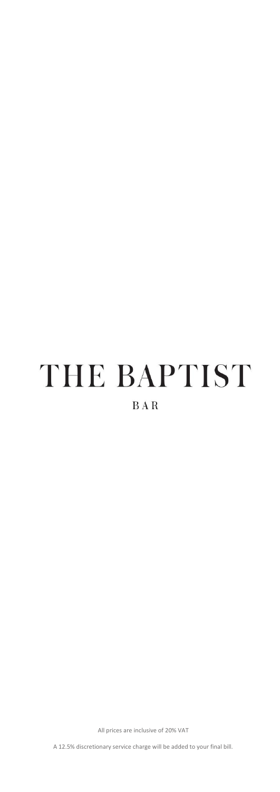# THE BAPTIST

# **BAR**

All prices are inclusive of 20% VAT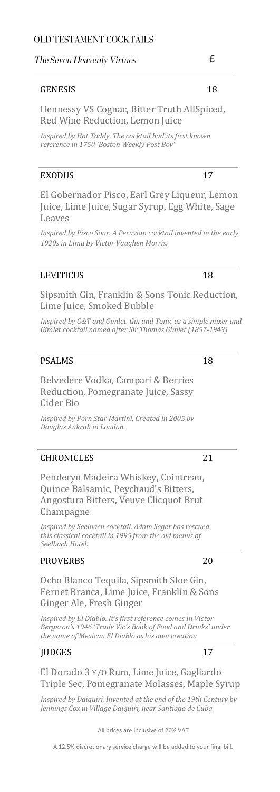#### The Seven Heavenly Virtues

#### GENESIS 18

Hennessy VS Cognac, Bitter Truth AllSpiced, Red Wine Reduction, Lemon Juice

*Inspired by Hot Toddy. The cocktail had its first known reference in 1750 'Boston Weekly Post Boy'*

#### EXODUS 17

El Gobernador Pisco, Earl Grey Liqueur, Lemon Juice, Lime Juice, Sugar Syrup, Egg White, Sage Leaves

*Inspired by Pisco Sour. A Peruvian cocktail invented in the early 1920s in Lima by Victor Vaughen Morris.* 

#### LEVITICUS 18

Sipsmith Gin, Franklin & Sons Tonic Reduction, Lime Juice, Smoked Bubble

*Inspired by G&T and Gimlet. Gin and Tonic as a simple mixer and Gimlet cocktail named after Sir Thomas Gimlet (1857-1943)*

#### PSALMS 18

Belvedere Vodka, Campari & Berries Reduction, Pomegranate Juice, Sassy Cider Bio

*Inspired by Porn Star Martini. Created in 2005 by Douglas Ankrah in London.* 

#### CHRONICLES 21

Penderyn Madeira Whiskey, Cointreau, Quince Balsamic, Peychaud's Bitters, Angostura Bitters, Veuve Clicquot Brut Champagne

*Inspired by Seelbach cocktail. Adam Seger has rescued this classical cocktail in 1995 from the old menus of Seelbach Hotel.* 

#### PROVERBS 20

Ocho Blanco Tequila, Sipsmith Sloe Gin, Fernet Branca, Lime Juice, Franklin & Sons Ginger Ale, Fresh Ginger

*Inspired by El Diablo. It's first reference comes In Victor Bergeron's 1946 'Trade Vic's Book of Food and Drinks' under the name of Mexican El Diablo as his own creation*

#### JUDGES 17

El Dorado 3 Y/O Rum, Lime Juice, Gagliardo Triple Sec, Pomegranate Molasses, Maple Syrup

*Inspired by Daiquiri. Invented at the end of the 19th Century by Jennings Cox in Village Daiquiri, near Santiago de Cuba.* 

All prices are inclusive of 20% VAT

A 12.5% discretionary service charge will be added to your final bill.

£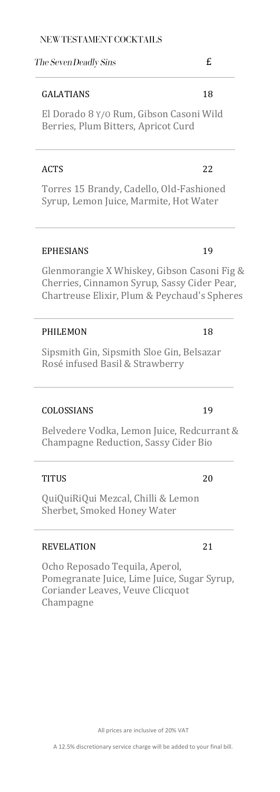### NEW TESTAMENT COCKTAILS

#### The Seven Deadly Sins

#### GALATIANS 18

El Dorado 8 Y/O Rum, Gibson Casoni Wild Berries, Plum Bitters, Apricot Curd

### ACTS 22

Torres 15 Brandy, Cadello, Old-Fashioned Syrup, Lemon Juice, Marmite, Hot Water

### EPHESIANS 19

Glenmorangie X Whiskey, Gibson Casoni Fig & Cherries, Cinnamon Syrup, Sassy Cider Pear, Chartreuse Elixir, Plum & Peychaud's Spheres

#### PHILEMON 18

Sipsmith Gin, Sipsmith Sloe Gin, Belsazar Rosé infused Basil & Strawberry

### COLOSSIANS 19

Belvedere Vodka, Lemon Juice, Redcurrant & Champagne Reduction, Sassy Cider Bio

#### TITUS 20

QuiQuiRiQui Mezcal, Chilli & Lemon Sherbet, Smoked Honey Water

#### REVELATION 21

Ocho Reposado Tequila, Aperol, Pomegranate Juice, Lime Juice, Sugar Syrup, Coriander Leaves, Veuve Clicquot Champagne

# £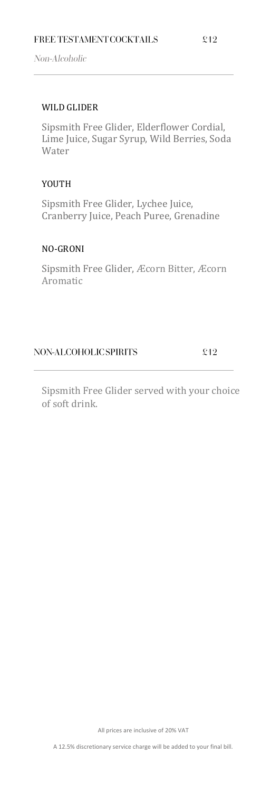Non-Alcoholic

### WILD GLIDER

Sipsmith Free Glider, Elderflower Cordial, Lime Juice, Sugar Syrup, Wild Berries, Soda Water

### YOUTH

Sipsmith Free Glider, Lychee Juice, Cranberry Juice, Peach Puree, Grenadine

### NO-GRONI

Sipsmith Free Glider, Æcorn Bitter, Æcorn Aromatic

### NON-ALCOHOLIC SPIRITS

 $£12$ 

Sipsmith Free Glider served with your choice of soft drink.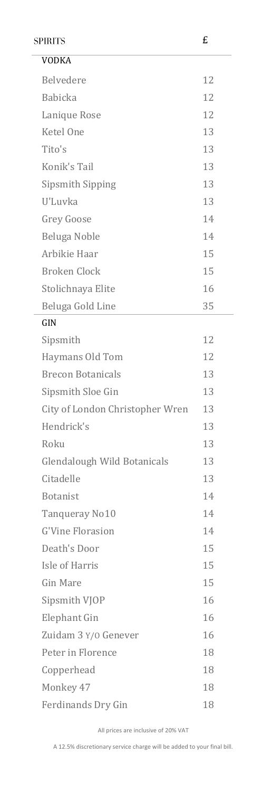| £<br><b>SPIRITS</b> |                                    |    |
|---------------------|------------------------------------|----|
|                     | <b>VODKA</b>                       |    |
|                     | Belvedere                          | 12 |
|                     | <b>Babicka</b>                     | 12 |
|                     | Lanique Rose                       | 12 |
|                     | Ketel One                          | 13 |
|                     | Tito's                             | 13 |
|                     | Konik's Tail                       | 13 |
|                     | Sipsmith Sipping                   | 13 |
|                     | U'Luvka                            | 13 |
|                     | <b>Grey Goose</b>                  | 14 |
|                     | Beluga Noble                       | 14 |
|                     | Arbikie Haar                       | 15 |
|                     | Broken Clock                       | 15 |
|                     | Stolichnaya Elite                  | 16 |
|                     | Beluga Gold Line                   | 35 |
|                     | GIN                                |    |
|                     | Sipsmith                           | 12 |
|                     | Haymans Old Tom                    | 12 |
|                     | <b>Brecon Botanicals</b>           | 13 |
|                     | Sipsmith Sloe Gin                  | 13 |
|                     | City of London Christopher Wren    | 13 |
|                     | Hendrick's                         | 13 |
|                     | Roku                               | 13 |
|                     | <b>Glendalough Wild Botanicals</b> | 13 |
|                     | Citadelle                          | 13 |
|                     | <b>Botanist</b>                    | 14 |
|                     | Tanqueray No10                     | 14 |
|                     | <b>G'Vine Florasion</b>            | 14 |
|                     | Death's Door                       | 15 |
|                     | Isle of Harris                     | 15 |
|                     | <b>Gin Mare</b>                    | 15 |
|                     | Sipsmith VJOP                      | 16 |
|                     | Elephant Gin                       | 16 |
|                     | Zuidam 3 Y/0 Genever               | 16 |
|                     | Peter in Florence                  | 18 |
|                     | Copperhead                         | 18 |
|                     | Monkey 47                          | 18 |
|                     | Ferdinands Dry Gin                 | 18 |

All prices are inclusive of 20% VAT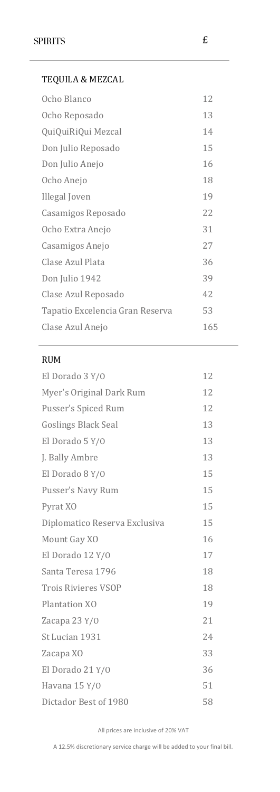| TEQUILA & MEZCAL                |     |
|---------------------------------|-----|
| Ocho Blanco                     | 12  |
| Ocho Reposado                   | 13  |
| QuiQuiRiQui Mezcal              | 14  |
| Don Julio Reposado              | 15  |
| Don Julio Anejo                 | 16  |
| Ocho Anejo                      | 18  |
| Illegal Joven                   | 19  |
| Casamigos Reposado              | 22  |
| Ocho Extra Anejo                | 31  |
| Casamigos Anejo                 | 27  |
| Clase Azul Plata                | 36  |
| Don Julio 1942                  | 39  |
| Clase Azul Reposado             | 42  |
| Tapatio Excelencia Gran Reserva | 53  |
| Clase Azul Anejo                | 165 |

#### RUM

| El Dorado 3 Y/O               | 12 |
|-------------------------------|----|
| Myer's Original Dark Rum      | 12 |
| Pusser's Spiced Rum           | 12 |
| <b>Goslings Black Seal</b>    | 13 |
| El Dorado 5 Y/O               | 13 |
| J. Bally Ambre                | 13 |
| El Dorado 8 Y/0               | 15 |
| Pusser's Navy Rum             | 15 |
| Pyrat XO                      | 15 |
| Diplomatico Reserva Exclusiva | 15 |
| Mount Gay XO                  | 16 |
| El Dorado 12 Y/O              | 17 |
| Santa Teresa 1796             | 18 |
| <b>Trois Rivieres VSOP</b>    | 18 |
| Plantation XO                 | 19 |
| Zacapa 23 Y/0                 | 21 |
| St Lucian 1931                | 24 |
| Zacapa XO                     | 33 |
| El Dorado 21 Y/O              | 36 |
| Havana 15 Y/0                 | 51 |
| Dictador Best of 1980         | 58 |

All prices are inclusive of 20% VAT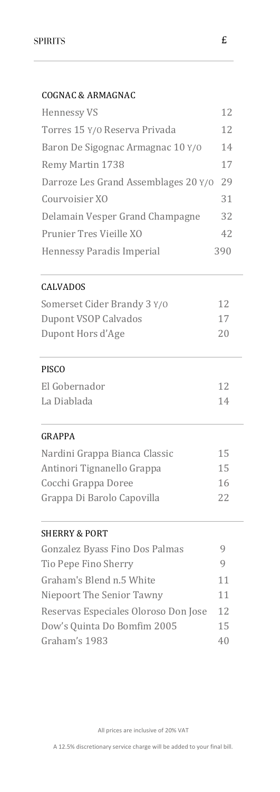# COGNAC & ARMAGNAC

| <b>Hennessy VS</b>                   | 12  |
|--------------------------------------|-----|
| Torres 15 Y/0 Reserva Privada        | 12  |
| Baron De Sigognac Armagnac 10 Y/0    | 14  |
| <b>Remy Martin 1738</b>              | 17  |
| Darroze Les Grand Assemblages 20 Y/0 | 29  |
| Courvoisier XO                       | 31  |
| Delamain Vesper Grand Champagne      | 32  |
| Prunier Tres Vieille XO              | 42  |
| <b>Hennessy Paradis Imperial</b>     | 390 |

## CALVADOS

| Somerset Cider Brandy 3 Y/0 | 12 |
|-----------------------------|----|
| Dupont VSOP Calvados        | 17 |
| Dupont Hors d'Age           | 20 |

# PISCO

| El Gobernador |    |
|---------------|----|
| La Diablada   | 14 |

### GRAPPA

| Nardini Grappa Bianca Classic | 15 |
|-------------------------------|----|
| Antinori Tignanello Grappa    | 15 |
| Cocchi Grappa Doree           | 16 |
| Grappa Di Barolo Capovilla    | 22 |

# SHERRY & PORT

| Gonzalez Byass Fino Dos Palmas       |    |
|--------------------------------------|----|
| Tio Pepe Fino Sherry                 |    |
| Graham's Blend n.5 White             | 11 |
| Niepoort The Senior Tawny            | 11 |
| Reservas Especiales Oloroso Don Jose | 12 |
| Dow's Quinta Do Bomfim 2005          | 15 |
| Graham's 1983                        |    |
|                                      |    |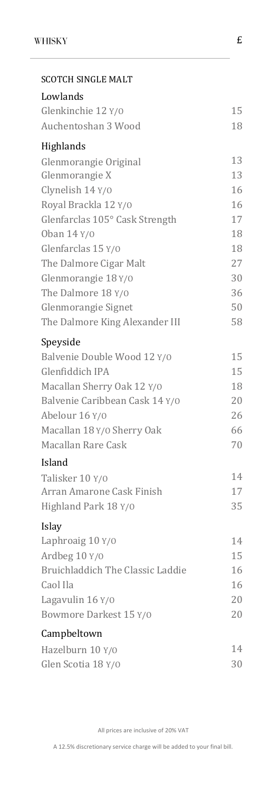| <b>SCOTCH SINGLE MALT</b>        |    |
|----------------------------------|----|
| Lowlands                         |    |
| Glenkinchie 12 Y/0               | 15 |
| Auchentoshan 3 Wood              | 18 |
| Highlands                        |    |
| Glenmorangie Original            | 13 |
| Glenmorangie X                   | 13 |
| Clynelish 14 Y/0                 | 16 |
| Royal Brackla 12 Y/0             | 16 |
| Glenfarclas 105° Cask Strength   | 17 |
| Oban 14 Y/0                      | 18 |
| Glenfarclas 15 Y/0               | 18 |
| The Dalmore Cigar Malt           | 27 |
| Glenmorangie 18 Y/0              | 30 |
| The Dalmore 18 Y/0               | 36 |
| Glenmorangie Signet              | 50 |
| The Dalmore King Alexander III   | 58 |
| Speyside                         |    |
| Balvenie Double Wood 12 Y/0      | 15 |
| Glenfiddich IPA                  | 15 |
| Macallan Sherry Oak 12 Y/0       | 18 |
| Balvenie Caribbean Cask 14 Y/0   | 20 |
| Abelour 16 Y/0                   | 26 |
| Macallan 18 Y/0 Sherry Oak       | 66 |
| Macallan Rare Cask               | 70 |
| Island                           |    |
| Talisker 10 Y/0                  | 14 |
| Arran Amarone Cask Finish        | 17 |
| Highland Park 18 Y/0             | 35 |
| Islay                            |    |
| Laphroaig 10 Y/0                 | 14 |
| Ardbeg 10 Y/0                    | 15 |
| Bruichladdich The Classic Laddie | 16 |
| Caol Ila                         | 16 |
| Lagavulin 16 Y/0                 | 20 |
| Bowmore Darkest 15 Y/0           | 20 |
| Campbeltown                      |    |
| Hazelburn 10 Y/0                 | 14 |
| Glen Scotia 18 Y/0               | 30 |

£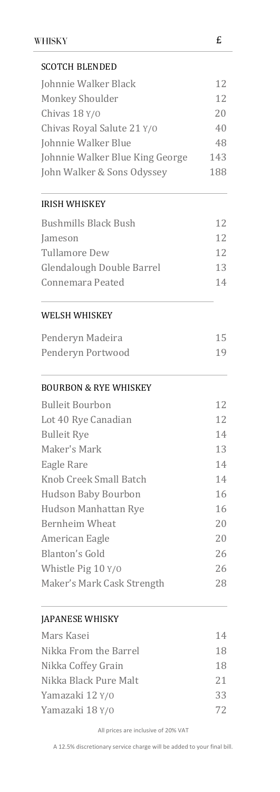| <b>SCOTCH BLENDED</b>            |     |
|----------------------------------|-----|
| Johnnie Walker Black             | 12  |
| Monkey Shoulder                  | 12  |
| Chivas 18 Y/0                    | 20  |
| Chivas Royal Salute 21 Y/0       | 40  |
| Johnnie Walker Blue              |     |
| Johnnie Walker Blue King George  | 143 |
| John Walker & Sons Odyssey       | 188 |
| <b>IRISH WHISKEY</b>             |     |
| <b>Bushmills Black Bush</b>      | 12  |
| Jameson                          | 12  |
| <b>Tullamore Dew</b>             | 12  |
| Glendalough Double Barrel        | 13  |
| Connemara Peated                 | 14  |
| WELSH WHISKEY                    |     |
| Penderyn Madeira                 | 15  |
| Penderyn Portwood                | 19  |
| <b>BOURBON &amp; RYE WHISKEY</b> |     |
| <b>Bulleit Bourbon</b>           | 12  |
| Lot 40 Rye Canadian              | 12  |
| <b>Bulleit Rye</b>               | 14  |
| Maker's Mark                     | 13  |
| Eagle Rare                       | 14  |
| Knob Creek Small Batch           | 14  |
| <b>Hudson Baby Bourbon</b>       | 16  |
| Hudson Manhattan Rye             | 16  |
| <b>Bernheim Wheat</b>            | 20  |
| American Eagle                   | 20  |
| Blanton's Gold                   | 26  |
| Whistle Pig 10 Y/0               | 26  |
| Maker's Mark Cask Strength       | 28  |
| JAPANESE WHISKY                  |     |
| Mars Kasei                       | 14  |
| Nikka From the Barrel            | 18  |
| Nikka Coffey Grain               | 18  |
| Nikka Black Pure Malt            | 21  |
| Yamazaki 12 Y/0                  | 33  |
| Yamazaki 18 Y/0                  | 72  |

All prices are inclusive of 20% VAT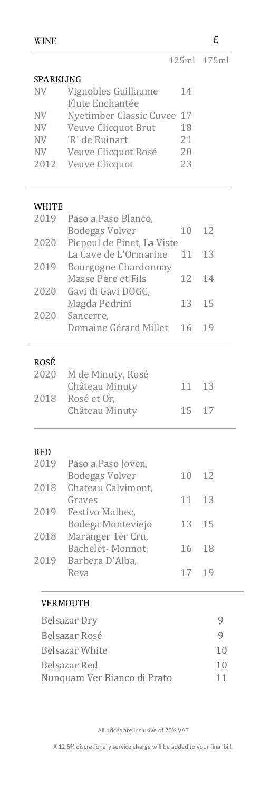| <b>WINE</b> |                                        |    | £           |
|-------------|----------------------------------------|----|-------------|
|             |                                        |    | 125ml 175ml |
| SPARKLING   |                                        |    |             |
| <b>NV</b>   | Vignobles Guillaume<br>Flute Enchantée | 14 |             |
| <b>NV</b>   | Nyetimber Classic Cuvee                | 17 |             |
| <b>NV</b>   | Veuve Clicquot Brut                    | 18 |             |
| NV.         | 'R' de Ruinart                         | 21 |             |
| NV          | Veuve Clicquot Rosé                    | 20 |             |
| 2012        | Veuve Clicquot                         | 23 |             |
| WHITE       |                                        |    |             |
| 2019        | Paso a Paso Blanco,                    |    |             |
|             | <b>Bodegas Volver</b>                  | 10 | 12          |
| 2020        | Picpoul de Pinet, La Viste             |    |             |
|             | La Cave de L'Ormarine                  | 11 | 13          |
| 2019        | <b>Bourgogne Chardonnay</b>            |    |             |
|             | Masse Père et Fils                     | 12 | 14          |
| 2020        | Gavi di Gavi DOGC,                     |    |             |
|             | Magda Pedrini                          | 13 | 15          |
| 2020        | Sancerre,                              |    |             |
|             | Domaine Gérard Millet                  | 16 | 19          |
| ROSÉ        |                                        |    |             |
| 2020        | M de Minuty, Rosé                      |    |             |
|             | Château Minuty                         | 11 | 13          |
| 2018        | Rosé et Or,                            |    |             |
|             | Château Minuty                         | 15 | 17          |
| RED         |                                        |    |             |
| 2019        | Paso a Paso Joven,                     |    |             |
|             | <b>Bodegas Volver</b>                  | 10 | 12          |
| 2018        | Chateau Calvimont,                     |    |             |
|             | Graves                                 | 11 | 13          |
| 2019        | Festivo Malbec,                        |    |             |
|             | Bodega Monteviejo                      | 13 | 15          |
| 2018        | Maranger 1er Cru,                      |    |             |
|             | Bachelet-Monnot                        | 16 | 18          |
| 2019        | Barbera D'Alba,                        |    |             |
|             | Reva                                   | 17 | 19          |
|             | VERMOUTH                               |    |             |
|             | <b>Belsazar Dry</b>                    |    | 9           |
|             | Belsazar Rosé                          |    | 9           |
|             | <b>Belsazar White</b>                  |    | 10          |
|             |                                        |    |             |
|             | Belsazar Red                           |    | 10          |
|             | Nunquam Ver Bianco di Prato            |    | 11          |

All prices are inclusive of 20% VAT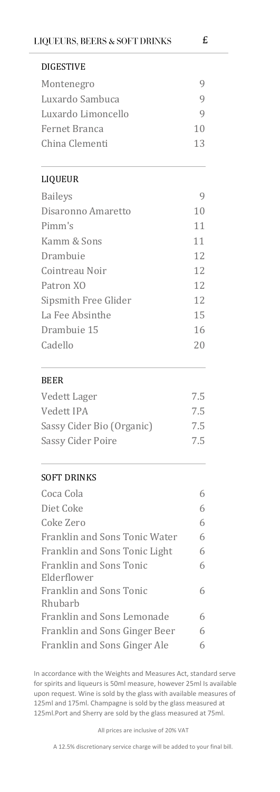| <b>DIGESTIVE</b>                       |     |  |
|----------------------------------------|-----|--|
| Montenegro                             | 9   |  |
| Luxardo Sambuca                        | 9   |  |
| Luxardo Limoncello                     | 9   |  |
| Fernet Branca                          | 10  |  |
| China Clementi                         | 13  |  |
| LIQUEUR                                |     |  |
| <b>Baileys</b>                         | 9   |  |
| Disaronno Amaretto                     | 10  |  |
| Pimm's                                 | 11  |  |
| Kamm & Sons                            | 11  |  |
| Drambuie                               | 12  |  |
| Cointreau Noir                         | 12  |  |
| Patron XO<br>Sipsmith Free Glider      |     |  |
|                                        |     |  |
| Drambuie 15<br>Cadello                 |     |  |
|                                        |     |  |
| <b>BEER</b>                            |     |  |
| Vedett Lager                           | 7.5 |  |
| Vedett IPA                             | 7.5 |  |
| Sassy Cider Bio (Organic)              | 7.5 |  |
| <b>Sassy Cider Poire</b>               | 7.5 |  |
| SOFT DRINKS                            |     |  |
| Coca Cola                              | 6   |  |
| Diet Coke                              | 6   |  |
| Coke Zero                              | 6   |  |
| Franklin and Sons Tonic Water          | 6   |  |
| Franklin and Sons Tonic Light          | 6   |  |
| <b>Franklin and Sons Tonic</b>         | 6   |  |
| Elderflower<br>Franklin and Sons Tonic |     |  |
| Rhubarb                                | 6   |  |
| Franklin and Sons Lemonade             | 6   |  |
| Franklin and Sons Ginger Beer          | 6   |  |
| Franklin and Sons Ginger Ale           | 6   |  |

In accordance with the Weights and Measures Act, standard serve for spirits and liqueurs is 50ml measure, however 25ml Is available upon request. Wine is sold by the glass with available measures of 125ml and 175ml. Champagne is sold by the glass measured at 125ml.Port and Sherry are sold by the glass measured at 75ml.